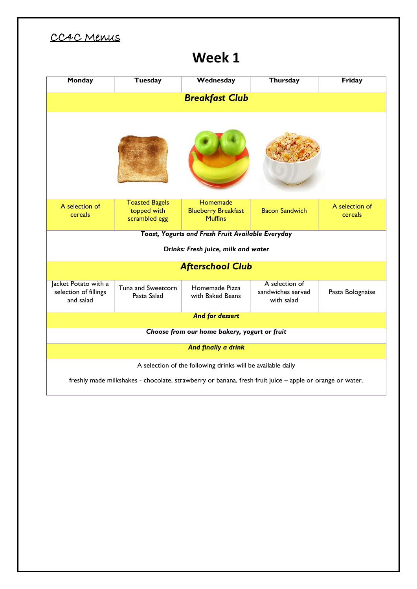## CC4C Menus

## **Week 1**

| Monday                                                                                                   | <b>Tuesday</b>                                        | Wednesday                                                | Thursday                                          | Friday                    |  |  |  |  |
|----------------------------------------------------------------------------------------------------------|-------------------------------------------------------|----------------------------------------------------------|---------------------------------------------------|---------------------------|--|--|--|--|
| <b>Breakfast Club</b>                                                                                    |                                                       |                                                          |                                                   |                           |  |  |  |  |
|                                                                                                          |                                                       |                                                          |                                                   |                           |  |  |  |  |
| A selection of<br>cereals                                                                                | <b>Toasted Bagels</b><br>topped with<br>scrambled egg | Homemade<br><b>Blueberry Breakfast</b><br><b>Muffins</b> | <b>Bacon Sandwich</b>                             | A selection of<br>cereals |  |  |  |  |
| <b>Toast, Yogurts and Fresh Fruit Available Everyday</b>                                                 |                                                       |                                                          |                                                   |                           |  |  |  |  |
| Drinks: Fresh juice, milk and water                                                                      |                                                       |                                                          |                                                   |                           |  |  |  |  |
| <b>Afterschool Club</b>                                                                                  |                                                       |                                                          |                                                   |                           |  |  |  |  |
| Jacket Potato with a<br>selection of fillings<br>and salad                                               | Tuna and Sweetcorn<br>Pasta Salad                     | Homemade Pizza<br>with Baked Beans                       | A selection of<br>sandwiches served<br>with salad | Pasta Bolognaise          |  |  |  |  |
|                                                                                                          | <b>And for dessert</b>                                |                                                          |                                                   |                           |  |  |  |  |
| Choose from our home bakery, yogurt or fruit                                                             |                                                       |                                                          |                                                   |                           |  |  |  |  |
| And finally a drink                                                                                      |                                                       |                                                          |                                                   |                           |  |  |  |  |
|                                                                                                          |                                                       |                                                          |                                                   |                           |  |  |  |  |
| A selection of the following drinks will be available daily                                              |                                                       |                                                          |                                                   |                           |  |  |  |  |
| freshly made milkshakes - chocolate, strawberry or banana, fresh fruit juice - apple or orange or water. |                                                       |                                                          |                                                   |                           |  |  |  |  |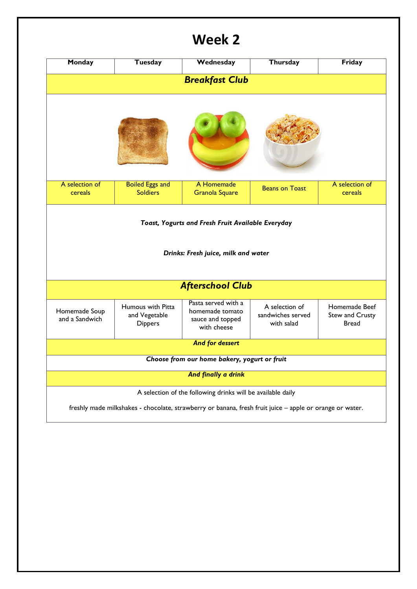## **Week 2**

| <b>Monday</b>                                                                                                                                                           | <b>Tuesday</b>                                       | Wednesday                                                                 | Thursday                                          | Friday                                    |  |  |  |  |
|-------------------------------------------------------------------------------------------------------------------------------------------------------------------------|------------------------------------------------------|---------------------------------------------------------------------------|---------------------------------------------------|-------------------------------------------|--|--|--|--|
| <b>Breakfast Club</b>                                                                                                                                                   |                                                      |                                                                           |                                                   |                                           |  |  |  |  |
|                                                                                                                                                                         |                                                      |                                                                           |                                                   |                                           |  |  |  |  |
| A selection of<br>cereals                                                                                                                                               | <b>Boiled Eggs and</b><br><b>Soldiers</b>            | A Homemade<br><b>Granola Square</b>                                       | <b>Beans on Toast</b>                             | A selection of<br>cereals                 |  |  |  |  |
| Toast, Yogurts and Fresh Fruit Available Everyday<br>Drinks: Fresh juice, milk and water                                                                                |                                                      |                                                                           |                                                   |                                           |  |  |  |  |
|                                                                                                                                                                         | <b>Afterschool Club</b>                              |                                                                           |                                                   |                                           |  |  |  |  |
| Homemade Soup<br>and a Sandwich                                                                                                                                         | Humous with Pitta<br>and Vegetable<br><b>Dippers</b> | Pasta served with a<br>homemade tomato<br>sauce and topped<br>with cheese | A selection of<br>sandwiches served<br>with salad | Homemade Beef<br>Stew and Crusty<br>Bread |  |  |  |  |
| And for dessert                                                                                                                                                         |                                                      |                                                                           |                                                   |                                           |  |  |  |  |
| Choose from our home bakery, yogurt or fruit                                                                                                                            |                                                      |                                                                           |                                                   |                                           |  |  |  |  |
| And finally a drink                                                                                                                                                     |                                                      |                                                                           |                                                   |                                           |  |  |  |  |
| A selection of the following drinks will be available daily<br>freshly made milkshakes - chocolate, strawberry or banana, fresh fruit juice - apple or orange or water. |                                                      |                                                                           |                                                   |                                           |  |  |  |  |